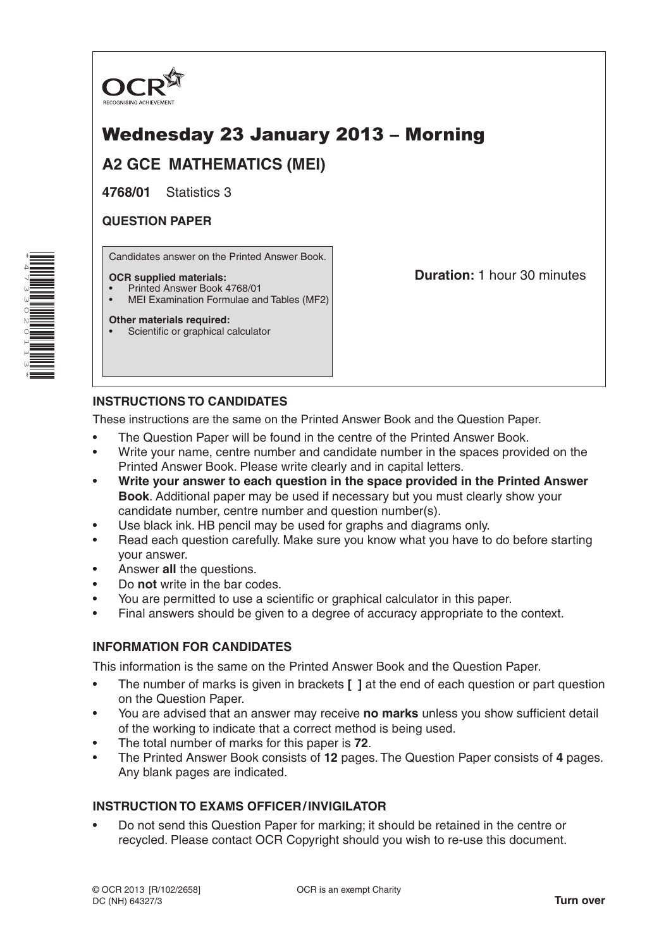

# Wednesday 23 January 2013 – Morning

## **A2 GCE MATHEMATICS (MEI)**

**4768/01** Statistics 3

### **QUESTION PAPER**

Candidates answer on the Printed Answer Book.

#### **OCR supplied materials:**

- Printed Answer Book 4768/01
- MEI Examination Formulae and Tables (MF2)

#### **Other materials required:**

Scientific or graphical calculator

**Duration:** 1 hour 30 minutes

### **INSTRUCTIONS TO CANDIDATES**

These instructions are the same on the Printed Answer Book and the Question Paper.

- The Question Paper will be found in the centre of the Printed Answer Book.
- Write your name, centre number and candidate number in the spaces provided on the Printed Answer Book. Please write clearly and in capital letters.
- **Write your answer to each question in the space provided in the Printed Answer Book**. Additional paper may be used if necessary but you must clearly show your candidate number, centre number and question number(s).
- Use black ink. HB pencil may be used for graphs and diagrams only.
- Read each question carefully. Make sure you know what you have to do before starting your answer.
- Answer **all** the questions.
- Do **not** write in the bar codes.
- You are permitted to use a scientific or graphical calculator in this paper.
- Final answers should be given to a degree of accuracy appropriate to the context.

#### **INFORMATION FOR CANDIDATES**

This information is the same on the Printed Answer Book and the Question Paper.

- The number of marks is given in brackets **[ ]** at the end of each question or part question on the Question Paper.
- You are advised that an answer may receive **no marks** unless you show sufficient detail of the working to indicate that a correct method is being used.
- The total number of marks for this paper is **72**.
- The Printed Answer Book consists of **12** pages. The Question Paper consists of **4** pages. Any blank pages are indicated.

#### **INSTRUCTION TO EXAMS OFFICER/INVIGILATOR**

• Do not send this Question Paper for marking; it should be retained in the centre or recycled. Please contact OCR Copyright should you wish to re-use this document.

\*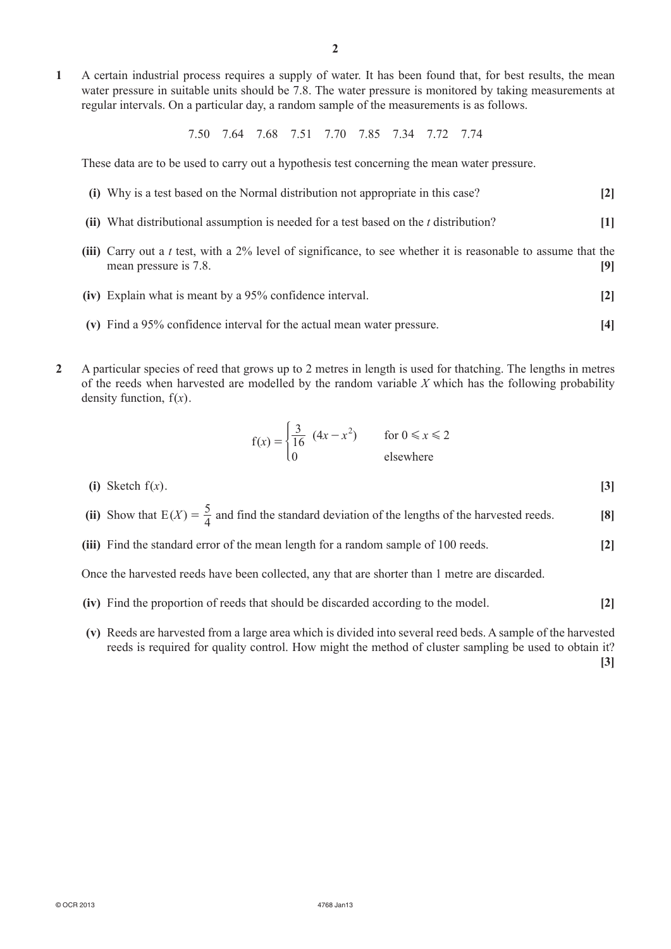**1**  A certain industrial process requires a supply of water. It has been found that, for best results, the mean water pressure in suitable units should be 7.8. The water pressure is monitored by taking measurements at regular intervals. On a particular day, a random sample of the measurements is as follows.

7.50 7.64 7.68 7.51 7.70 7.85 7.34 7.72 7.74

These data are to be used to carry out a hypothesis test concerning the mean water pressure.

| (i) Why is a test based on the Normal distribution not appropriate in this case?                                                       | $\lceil 2 \rceil$ |
|----------------------------------------------------------------------------------------------------------------------------------------|-------------------|
| (ii) What distributional assumption is needed for a test based on the $t$ distribution?                                                | $[1]$             |
| (iii) Carry out a t test, with a 2% level of significance, to see whether it is reasonable to assume that the<br>mean pressure is 7.8. | 191               |
| (iv) Explain what is meant by a 95% confidence interval.                                                                               | $\lceil 2 \rceil$ |
| (v) Find a 95% confidence interval for the actual mean water pressure.                                                                 |                   |

**2**  A particular species of reed that grows up to 2 metres in length is used for thatching. The lengths in metres of the reeds when harvested are modelled by the random variable *X* which has the following probability density function,  $f(x)$ .

$$
f(x) = \begin{cases} \frac{3}{16} & (4x - x^2) \\ 0 & \text{elsewhere} \end{cases}
$$

- **(i)** Sketch  $f(x)$ . **[3]**
- (ii) Show that  $E(X) = \frac{5}{4}$  and find the standard deviation of the lengths of the harvested reeds. **[8]** 
	- **(iii)** Find the standard error of the mean length for a random sample of 100 reeds. **[2]**

Once the harvested reeds have been collected, any that are shorter than 1 metre are discarded.

- **(iv)** Find the proportion of reeds that should be discarded according to the model. **[2]**
- **(v)** Reeds are harvested from a large area which is divided into several reed beds. A sample of the harvested reeds is required for quality control. How might the method of cluster sampling be used to obtain it? **[3]**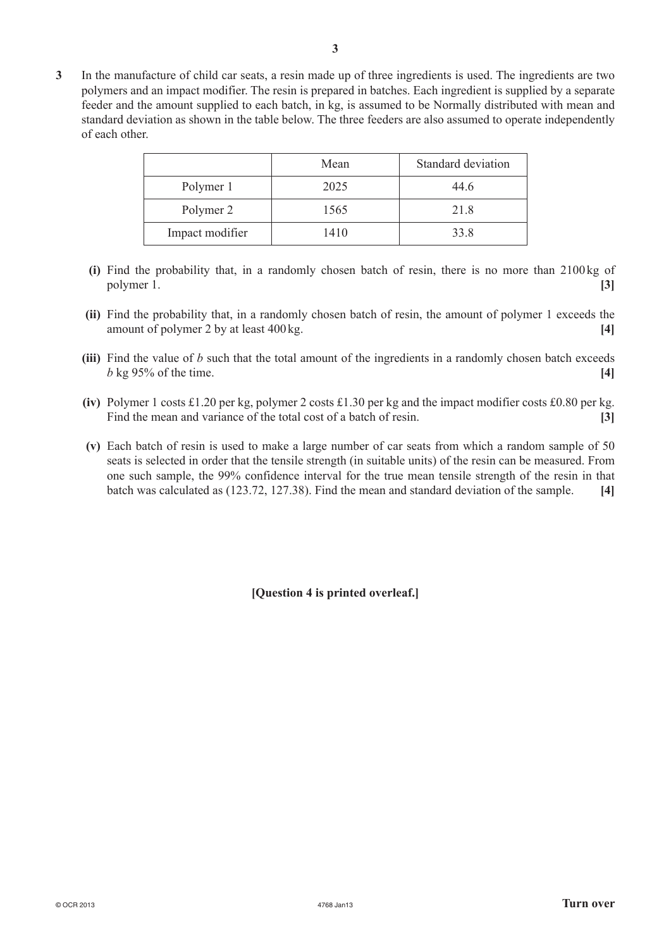**3**  In the manufacture of child car seats, a resin made up of three ingredients is used. The ingredients are two polymers and an impact modifier. The resin is prepared in batches. Each ingredient is supplied by a separate feeder and the amount supplied to each batch, in kg, is assumed to be Normally distributed with mean and standard deviation as shown in the table below. The three feeders are also assumed to operate independently of each other.

|                 | Mean | Standard deviation |
|-----------------|------|--------------------|
| Polymer 1       | 2025 | 44.6               |
| Polymer 2       | 1565 | 21.8               |
| Impact modifier | 1410 | 33.8               |

- **(i)** Find the probability that, in a randomly chosen batch of resin, there is no more than 2100 kg of polymer 1. **[3]**
- **(ii)** Find the probability that, in a randomly chosen batch of resin, the amount of polymer 1 exceeds the amount of polymer 2 by at least 400kg. **[4]**
- **(iii)** Find the value of *b* such that the total amount of the ingredients in a randomly chosen batch exceeds *b* kg 95% of the time. **[4]**
- **(iv)** Polymer 1 costs £1.20 per kg, polymer 2 costs £1.30 per kg and the impact modifier costs £0.80 per kg. Find the mean and variance of the total cost of a batch of resin. **[3]**
- **(v)**  Each batch of resin is used to make a large number of car seats from which a random sample of 50 seats is selected in order that the tensile strength (in suitable units) of the resin can be measured. From one such sample, the 99% confidence interval for the true mean tensile strength of the resin in that batch was calculated as (123.72, 127.38). Find the mean and standard deviation of the sample. **[4]**

**[Question 4 is printed overleaf.]**